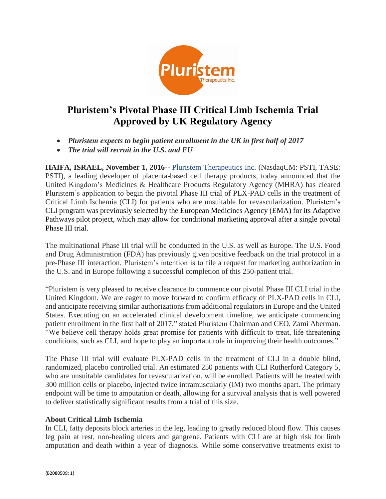

# **Pluristem's Pivotal Phase III Critical Limb Ischemia Trial Approved by UK Regulatory Agency**

- *Pluristem expects to begin patient enrollment in the UK in first half of 2017*
- *The trial will recruit in the U.S. and EU*

**HAIFA, ISRAEL, November 1, 2016--** Pluristem Therapeutics Inc. (NasdaqCM: PSTI, TASE: PSTI), a leading developer of placenta-based cell therapy products, today announced that the United Kingdom's Medicines & Healthcare Products Regulatory Agency (MHRA) has cleared Pluristem's application to begin the pivotal Phase III trial of PLX-PAD cells in the treatment of Critical Limb Ischemia (CLI) for patients who are unsuitable for revascularization. Pluristem's CLI program was previously selected by the European Medicines Agency (EMA) for its Adaptive Pathways pilot project, which may allow for conditional marketing approval after a single pivotal Phase III trial.

The multinational Phase III trial will be conducted in the U.S. as well as Europe. The U.S. Food and Drug Administration (FDA) has previously given positive feedback on the trial protocol in a pre-Phase III interaction. Pluristem's intention is to file a request for marketing authorization in the U.S. and in Europe following a successful completion of this 250-patient trial.

"Pluristem is very pleased to receive clearance to commence our pivotal Phase III CLI trial in the United Kingdom. We are eager to move forward to confirm efficacy of PLX-PAD cells in CLI, and anticipate receiving similar authorizations from additional regulators in Europe and the United States. Executing on an accelerated clinical development timeline, we anticipate commencing patient enrollment in the first half of 2017," stated Pluristem Chairman and CEO, Zami Aberman. "We believe cell therapy holds great promise for patients with difficult to treat, life threatening conditions, such as CLI, and hope to play an important role in improving their health outcomes."

The Phase III trial will evaluate PLX-PAD cells in the treatment of CLI in a double blind, randomized, placebo controlled trial. An estimated 250 patients with CLI Rutherford Category 5, who are unsuitable candidates for revascularization, will be enrolled. Patients will be treated with 300 million cells or placebo, injected twice intramuscularly (IM) two months apart. The primary endpoint will be time to amputation or death, allowing for a survival analysis that is well powered to deliver statistically significant results from a trial of this size.

#### **About Critical Limb Ischemia**

In CLI, fatty deposits block arteries in the leg, leading to greatly reduced blood flow. This causes leg pain at rest, non-healing ulcers and gangrene. Patients with CLI are at high risk for limb amputation and death within a year of diagnosis. While some conservative treatments exist to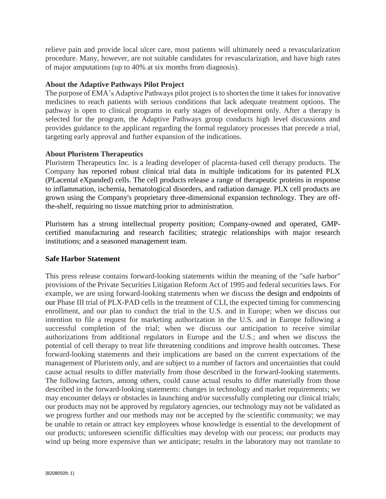relieve pain and provide local ulcer care, most patients will ultimately need a revascularization procedure. Many, however, are not suitable candidates for revascularization, and have high rates of major amputations (up to 40% at six months from diagnosis).

### **About the Adaptive Pathways Pilot Project**

The purpose of EMA's Adaptive Pathways pilot project is to shorten the time it takes for innovative medicines to reach patients with serious conditions that lack adequate treatment options. The pathway is open to clinical programs in early stages of development only. After a therapy is selected for the program, the Adaptive Pathways group conducts high level discussions and provides guidance to the applicant regarding the formal regulatory processes that precede a trial, targeting early approval and further expansion of the indications.

## **About Pluristem Therapeutics**

Pluristem Therapeutics Inc. is a leading developer of placenta-based cell therapy products. The Company has reported robust clinical trial data in multiple indications for its patented PLX (PLacental eXpanded) cells. The cell products release a range of therapeutic proteins in response to inflammation, ischemia, hematological disorders, and radiation damage. PLX cell products are grown using the Company's proprietary three-dimensional expansion technology. They are offthe-shelf, requiring no tissue matching prior to administration.

Pluristem has a strong intellectual property position; Company-owned and operated, GMPcertified manufacturing and research facilities; strategic relationships with major research institutions; and a seasoned management team.

#### **Safe Harbor Statement**

This press release contains forward-looking statements within the meaning of the "safe harbor" provisions of the Private Securities Litigation Reform Act of 1995 and federal securities laws. For example, we are using forward-looking statements when we discuss the design and endpoints of our Phase III trial of PLX-PAD cells in the treatment of CLI, the expected timing for commencing enrollment, and our plan to conduct the trial in the U.S. and in Europe; when we discuss our intention to file a request for marketing authorization in the U.S. and in Europe following a successful completion of the trial; when we discuss our anticipation to receive similar authorizations from additional regulators in Europe and the U.S.; and when we discuss the potential of cell therapy to treat life threatening conditions and improve health outcomes. These forward-looking statements and their implications are based on the current expectations of the management of Pluristem only, and are subject to a number of factors and uncertainties that could cause actual results to differ materially from those described in the forward-looking statements. The following factors, among others, could cause actual results to differ materially from those described in the forward-looking statements: changes in technology and market requirements; we may encounter delays or obstacles in launching and/or successfully completing our clinical trials; our products may not be approved by regulatory agencies, our technology may not be validated as we progress further and our methods may not be accepted by the scientific community; we may be unable to retain or attract key employees whose knowledge is essential to the development of our products; unforeseen scientific difficulties may develop with our process; our products may wind up being more expensive than we anticipate; results in the laboratory may not translate to